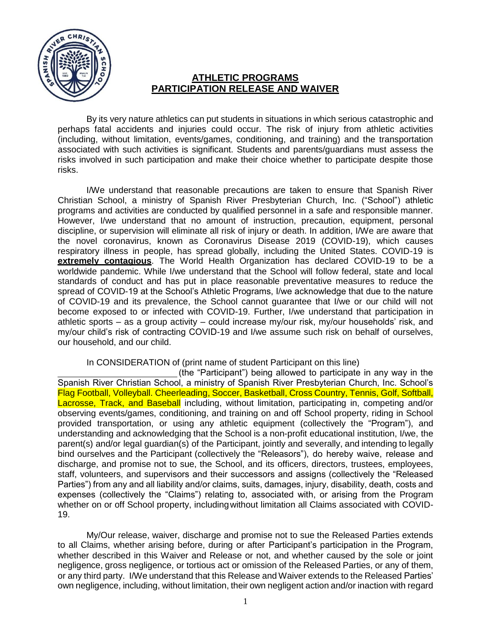

## **ATHLETIC PROGRAMS PARTICIPATION RELEASE AND WAIVER**

By its very nature athletics can put students in situations in which serious catastrophic and perhaps fatal accidents and injuries could occur. The risk of injury from athletic activities (including, without limitation, events/games, conditioning, and training) and the transportation associated with such activities is significant. Students and parents/guardians must assess the risks involved in such participation and make their choice whether to participate despite those risks.

I/We understand that reasonable precautions are taken to ensure that Spanish River Christian School, a ministry of Spanish River Presbyterian Church, Inc. ("School") athletic programs and activities are conducted by qualified personnel in a safe and responsible manner. However, I/we understand that no amount of instruction, precaution, equipment, personal discipline, or supervision will eliminate all risk of injury or death. In addition, I/We are aware that the novel coronavirus, known as Coronavirus Disease 2019 (COVID-19), which causes respiratory illness in people, has spread globally, including the United States. COVID-19 is **extremely contagious**. The World Health Organization has declared COVID-19 to be a worldwide pandemic. While I/we understand that the School will follow federal, state and local standards of conduct and has put in place reasonable preventative measures to reduce the spread of COVID-19 at the School's Athletic Programs, I/we acknowledge that due to the nature of COVID-19 and its prevalence, the School cannot guarantee that I/we or our child will not become exposed to or infected with COVID-19. Further, I/we understand that participation in athletic sports – as a group activity – could increase my/our risk, my/our households' risk, and my/our child's risk of contracting COVID-19 and I/we assume such risk on behalf of ourselves, our household, and our child.

## In CONSIDERATION of (print name of student Participant on this line)

(the "Participant") being allowed to participate in any way in the Spanish River Christian School, a ministry of Spanish River Presbyterian Church, Inc. School's Flag Football, Volleyball. Cheerleading, Soccer, Basketball, Cross Country, Tennis, Golf, Softball, Lacrosse, Track, and Baseball including, without limitation, participating in, competing and/or observing events/games, conditioning, and training on and off School property, riding in School provided transportation, or using any athletic equipment (collectively the "Program"), and understanding and acknowledging that the School is a non-profit educational institution, I/we, the parent(s) and/or legal guardian(s) of the Participant, jointly and severally, and intending to legally bind ourselves and the Participant (collectively the "Releasors"), do hereby waive, release and discharge, and promise not to sue, the School, and its officers, directors, trustees, employees, staff, volunteers, and supervisors and their successors and assigns (collectively the "Released Parties") from any and all liability and/or claims, suits, damages, injury, disability, death, costs and expenses (collectively the "Claims") relating to, associated with, or arising from the Program whether on or off School property, includingwithout limitation all Claims associated with COVID-19.

My/Our release, waiver, discharge and promise not to sue the Released Parties extends to all Claims, whether arising before, during or after Participant's participation in the Program, whether described in this Waiver and Release or not, and whether caused by the sole or joint negligence, gross negligence, or tortious act or omission of the Released Parties, or any of them, or any third party. I/We understand that this Release and Waiver extends to the Released Parties' own negligence, including, without limitation, their own negligent action and/or inaction with regard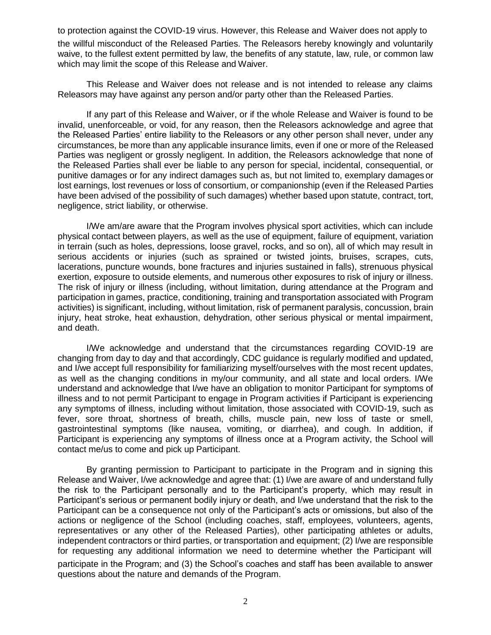to protection against the COVID-19 virus. However, this Release and Waiver does not apply to

the willful misconduct of the Released Parties. The Releasors hereby knowingly and voluntarily waive, to the fullest extent permitted by law, the benefits of any statute, law, rule, or common law which may limit the scope of this Release and Waiver.

This Release and Waiver does not release and is not intended to release any claims Releasors may have against any person and/or party other than the Released Parties.

If any part of this Release and Waiver, or if the whole Release and Waiver is found to be invalid, unenforceable, or void, for any reason, then the Releasors acknowledge and agree that the Released Parties' entire liability to the Releasors or any other person shall never, under any circumstances, be more than any applicable insurance limits, even if one or more of the Released Parties was negligent or grossly negligent. In addition, the Releasors acknowledge that none of the Released Parties shall ever be liable to any person for special, incidental, consequential, or punitive damages or for any indirect damages such as, but not limited to, exemplary damages or lost earnings, lost revenues or loss of consortium, or companionship (even if the Released Parties have been advised of the possibility of such damages) whether based upon statute, contract, tort, negligence, strict liability, or otherwise.

I/We am/are aware that the Program involves physical sport activities, which can include physical contact between players, as well as the use of equipment, failure of equipment, variation in terrain (such as holes, depressions, loose gravel, rocks, and so on), all of which may result in serious accidents or injuries (such as sprained or twisted joints, bruises, scrapes, cuts, lacerations, puncture wounds, bone fractures and injuries sustained in falls), strenuous physical exertion, exposure to outside elements, and numerous other exposures to risk of injury or illness. The risk of injury or illness (including, without limitation, during attendance at the Program and participation in games, practice, conditioning, training and transportation associated with Program activities) is significant, including, without limitation, risk of permanent paralysis, concussion, brain injury, heat stroke, heat exhaustion, dehydration, other serious physical or mental impairment, and death.

I/We acknowledge and understand that the circumstances regarding COVID-19 are changing from day to day and that accordingly, CDC guidance is regularly modified and updated, and I/we accept full responsibility for familiarizing myself/ourselves with the most recent updates, as well as the changing conditions in my/our community, and all state and local orders. I/We understand and acknowledge that I/we have an obligation to monitor Participant for symptoms of illness and to not permit Participant to engage in Program activities if Participant is experiencing any symptoms of illness, including without limitation, those associated with COVID-19, such as fever, sore throat, shortness of breath, chills, muscle pain, new loss of taste or smell, gastrointestinal symptoms (like nausea, vomiting, or diarrhea), and cough. In addition, if Participant is experiencing any symptoms of illness once at a Program activity, the School will contact me/us to come and pick up Participant.

By granting permission to Participant to participate in the Program and in signing this Release and Waiver, I/we acknowledge and agree that: (1) I/we are aware of and understand fully the risk to the Participant personally and to the Participant's property, which may result in Participant's serious or permanent bodily injury or death, and I/we understand that the risk to the Participant can be a consequence not only of the Participant's acts or omissions, but also of the actions or negligence of the School (including coaches, staff, employees, volunteers, agents, representatives or any other of the Released Parties), other participating athletes or adults, independent contractors or third parties, or transportation and equipment; (2) I/we are responsible for requesting any additional information we need to determine whether the Participant will participate in the Program; and (3) the School's coaches and staff has been available to answer questions about the nature and demands of the Program.